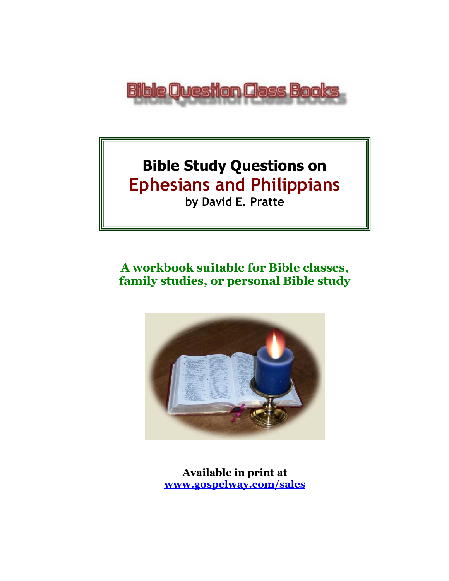

## **Bible Study Questions on Ephesians and Philippians by David E. Pratte**

# **A workbook suitable for Bible classes,**



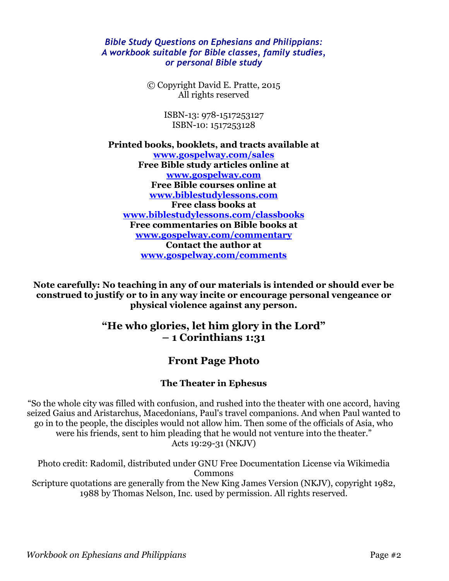#### *Bible Study Questions on Ephesians and Philippians: A workbook suitable for Bible classes, family studies, or personal Bible study*

© Copyright David E. Pratte, 2015 All rights reserved

> ISBN-13: 978-1517253127 ISBN-10: 1517253128

**Printed books, booklets, and tracts available at [www.gospelway.com/sales](https://www.gospelway.com/sales) Free Bible study articles online at [www.gospelway.com](http://www.gospelway.com/) Free Bible courses online at [www.biblestudylessons.com](http://www.biblestudylessons.com/) Free class books at [www.biblestudylessons.com/classbooks](http://www.biblestudylessons.com/classbooks) Free commentaries on Bible books at [www.gospelway.com/commentary](http://www.gospelway.com/commentary) Contact the author at [www.gospelway.com/comments](http://www.gospelway.com/comments)**

**Note carefully: No teaching in any of our materials is intended or should ever be construed to justify or to in any way incite or encourage personal vengeance or physical violence against any person.**

## **"He who glories, let him glory in the Lord" – 1 Corinthians 1:31**

## **Front Page Photo**

### **The Theater in Ephesus**

"So the whole city was filled with confusion, and rushed into the theater with one accord, having seized Gaius and Aristarchus, Macedonians, Paul's travel companions. And when Paul wanted to go in to the people, the disciples would not allow him. Then some of the officials of Asia, who were his friends, sent to him pleading that he would not venture into the theater." Acts 19:29-31 (NKJV)

Photo credit: Radomil, distributed under GNU Free Documentation License via Wikimedia Commons Scripture quotations are generally from the New King James Version (NKJV), copyright 1982, 1988 by Thomas Nelson, Inc. used by permission. All rights reserved.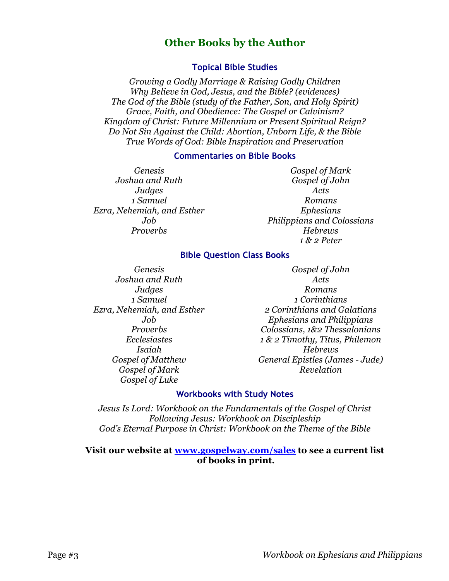## **Other Books by the Author**

#### **Topical Bible Studies**

*Growing a Godly Marriage & Raising Godly Children Why Believe in God, Jesus, and the Bible? (evidences) The God of the Bible (study of the Father, Son, and Holy Spirit) Grace, Faith, and Obedience: The Gospel or Calvinism? Kingdom of Christ: Future Millennium or Present Spiritual Reign? Do Not Sin Against the Child: Abortion, Unborn Life, & the Bible True Words of God: Bible Inspiration and Preservation*

#### **Commentaries on Bible Books**

*Genesis Joshua and Ruth Judges 1 Samuel Ezra, Nehemiah, and Esther Job Proverbs*

*Gospel of Mark Gospel of John Acts Romans Ephesians Philippians and Colossians Hebrews 1 & 2 Peter*

#### **Bible Question Class Books**

*Genesis Joshua and Ruth Judges 1 Samuel Ezra, Nehemiah, and Esther Job Proverbs Ecclesiastes Isaiah Gospel of Matthew Gospel of Mark Gospel of Luke*

*Gospel of John Acts Romans 1 Corinthians 2 Corinthians and Galatians Ephesians and Philippians Colossians, 1&2 Thessalonians 1 & 2 Timothy, Titus, Philemon Hebrews General Epistles (James - Jude) Revelation*

#### **Workbooks with Study Notes**

*Jesus Is Lord: Workbook on the Fundamentals of the Gospel of Christ Following Jesus: Workbook on Discipleship God's Eternal Purpose in Christ: Workbook on the Theme of the Bible*

#### **Visit our website at [www.gospelway.com/sales](https://www.gospelway.com/sales) to see a current list of books in print.**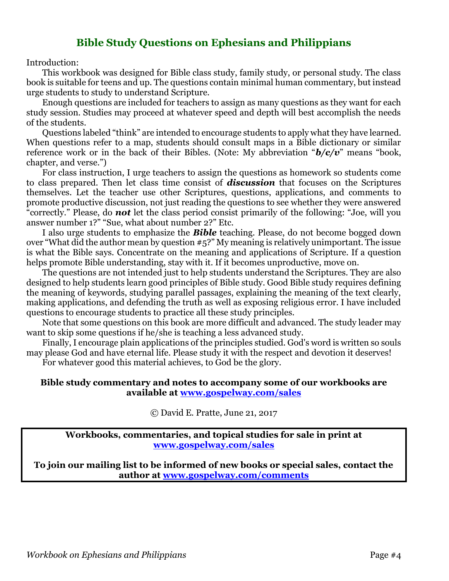## **Bible Study Questions on Ephesians and Philippians**

Introduction:

This workbook was designed for Bible class study, family study, or personal study. The class book is suitable for teens and up. The questions contain minimal human commentary, but instead urge students to study to understand Scripture.

Enough questions are included for teachers to assign as many questions as they want for each study session. Studies may proceed at whatever speed and depth will best accomplish the needs of the students.

Questions labeled "think" are intended to encourage students to apply what they have learned. When questions refer to a map, students should consult maps in a Bible dictionary or similar reference work or in the back of their Bibles. (Note: My abbreviation "*b/c/v*" means "book, chapter, and verse.")

For class instruction, I urge teachers to assign the questions as homework so students come to class prepared. Then let class time consist of *discussion* that focuses on the Scriptures themselves. Let the teacher use other Scriptures, questions, applications, and comments to promote productive discussion, not just reading the questions to see whether they were answered "correctly." Please, do *not* let the class period consist primarily of the following: "Joe, will you answer number 1?" "Sue, what about number 2?" Etc.

I also urge students to emphasize the *Bible* teaching. Please, do not become bogged down over "What did the author mean by question #5?" My meaning is relatively unimportant. The issue is what the Bible says. Concentrate on the meaning and applications of Scripture. If a question helps promote Bible understanding, stay with it. If it becomes unproductive, move on.

The questions are not intended just to help students understand the Scriptures. They are also designed to help students learn good principles of Bible study. Good Bible study requires defining the meaning of keywords, studying parallel passages, explaining the meaning of the text clearly, making applications, and defending the truth as well as exposing religious error. I have included questions to encourage students to practice all these study principles.

Note that some questions on this book are more difficult and advanced. The study leader may want to skip some questions if he/she is teaching a less advanced study.

Finally, I encourage plain applications of the principles studied. God's word is written so souls may please God and have eternal life. Please study it with the respect and devotion it deserves!

For whatever good this material achieves, to God be the glory.

#### **Bible study commentary and notes to accompany some of our workbooks are available at [www.gospelway.com/sales](https://www.gospelway.com/sales)**

© David E. Pratte, June 21, 2017

**Workbooks, commentaries, and topical studies for sale in print at [www.gospelway.com/sales](https://www.gospelway.com/sales)**

**To join our mailing list to be informed of new books or special sales, contact the author at [www.gospelway.com/comments](http://www.gospelway.com/comments)**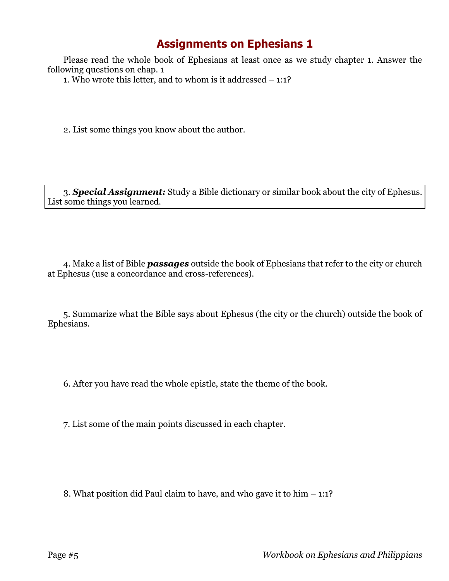## **Assignments on Ephesians 1**

Please read the whole book of Ephesians at least once as we study chapter 1. Answer the following questions on chap. 1

1. Who wrote this letter, and to whom is it addressed – 1:1?

2. List some things you know about the author.

3. *Special Assignment:* Study a Bible dictionary or similar book about the city of Ephesus. List some things you learned.

4. Make a list of Bible *passages* outside the book of Ephesians that refer to the city or church at Ephesus (use a concordance and cross-references).

5. Summarize what the Bible says about Ephesus (the city or the church) outside the book of Ephesians.

6. After you have read the whole epistle, state the theme of the book.

7. List some of the main points discussed in each chapter.

8. What position did Paul claim to have, and who gave it to him – 1:1?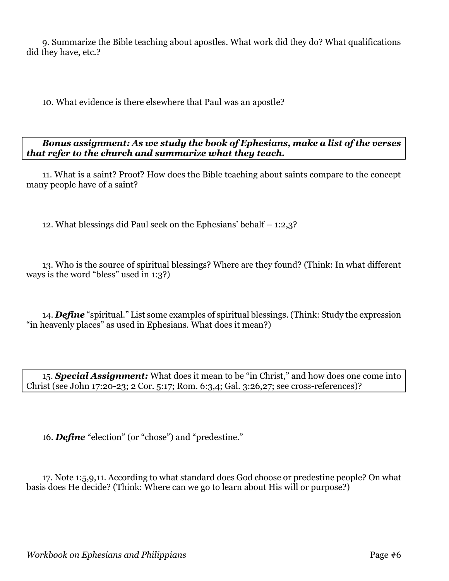9. Summarize the Bible teaching about apostles. What work did they do? What qualifications did they have, etc.?

10. What evidence is there elsewhere that Paul was an apostle?

*Bonus assignment: As we study the book of Ephesians, make a list of the verses that refer to the church and summarize what they teach.*

11. What is a saint? Proof? How does the Bible teaching about saints compare to the concept many people have of a saint?

12. What blessings did Paul seek on the Ephesians' behalf – 1:2,3?

13. Who is the source of spiritual blessings? Where are they found? (Think: In what different ways is the word "bless" used in 1:3?)

14. *Define* "spiritual." List some examples of spiritual blessings. (Think: Study the expression "in heavenly places" as used in Ephesians. What does it mean?)

15. *Special Assignment:* What does it mean to be "in Christ," and how does one come into Christ (see John 17:20-23; 2 Cor. 5:17; Rom. 6:3,4; Gal. 3:26,27; see cross-references)?

16. *Define* "election" (or "chose") and "predestine."

17. Note 1:5,9,11. According to what standard does God choose or predestine people? On what basis does He decide? (Think: Where can we go to learn about His will or purpose?)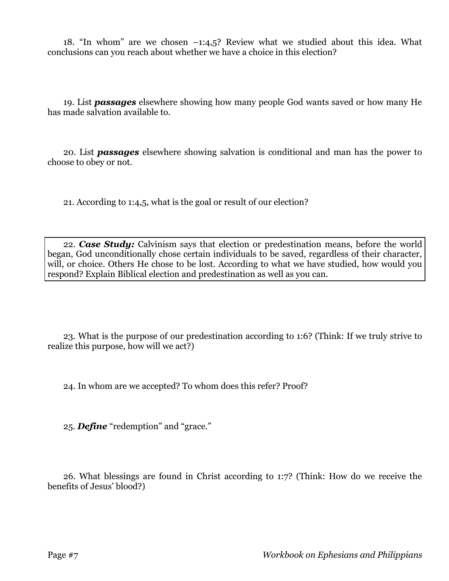18. "In whom" are we chosen –1:4,5? Review what we studied about this idea. What conclusions can you reach about whether we have a choice in this election?

19. List *passages* elsewhere showing how many people God wants saved or how many He has made salvation available to.

20. List *passages* elsewhere showing salvation is conditional and man has the power to choose to obey or not.

21. According to 1:4,5, what is the goal or result of our election?

22. *Case Study:* Calvinism says that election or predestination means, before the world began, God unconditionally chose certain individuals to be saved, regardless of their character, will, or choice. Others He chose to be lost. According to what we have studied, how would you respond? Explain Biblical election and predestination as well as you can.

23. What is the purpose of our predestination according to 1:6? (Think: If we truly strive to realize this purpose, how will we act?)

24. In whom are we accepted? To whom does this refer? Proof?

25. *Define* "redemption" and "grace."

26. What blessings are found in Christ according to 1:7? (Think: How do we receive the benefits of Jesus' blood?)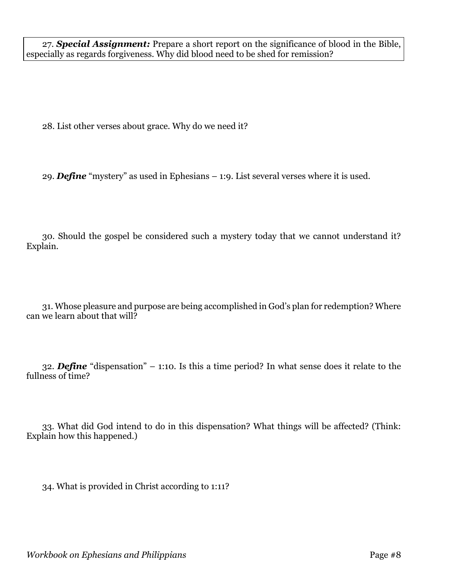28. List other verses about grace. Why do we need it?

29. *Define* "mystery" as used in Ephesians – 1:9. List several verses where it is used.

30. Should the gospel be considered such a mystery today that we cannot understand it? Explain.

31. Whose pleasure and purpose are being accomplished in God's plan for redemption? Where can we learn about that will?

32. *Define* "dispensation" – 1:10. Is this a time period? In what sense does it relate to the fullness of time?

33. What did God intend to do in this dispensation? What things will be affected? (Think: Explain how this happened.)

34. What is provided in Christ according to 1:11?

*Workbook on Ephesians and Philippians* Page #8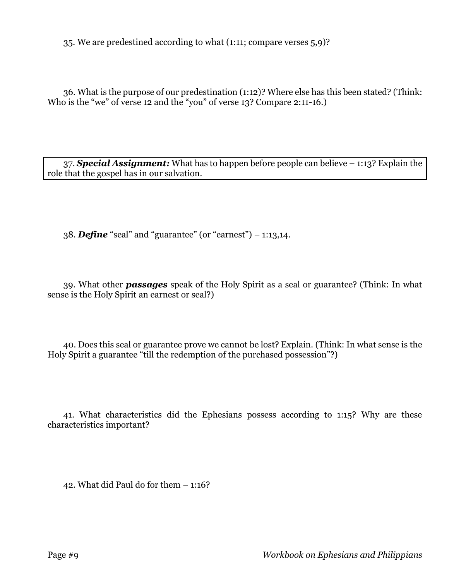35. We are predestined according to what (1:11; compare verses 5,9)?

36. What is the purpose of our predestination (1:12)? Where else has this been stated? (Think: Who is the "we" of verse 12 and the "you" of verse 13? Compare 2:11-16.)

37. *Special Assignment:* What has to happen before people can believe – 1:13? Explain the role that the gospel has in our salvation.

38. *Define* "seal" and "guarantee" (or "earnest") – 1:13,14.

39. What other *passages* speak of the Holy Spirit as a seal or guarantee? (Think: In what sense is the Holy Spirit an earnest or seal?)

40. Does this seal or guarantee prove we cannot be lost? Explain. (Think: In what sense is the Holy Spirit a guarantee "till the redemption of the purchased possession"?)

41. What characteristics did the Ephesians possess according to 1:15? Why are these characteristics important?

42. What did Paul do for them – 1:16?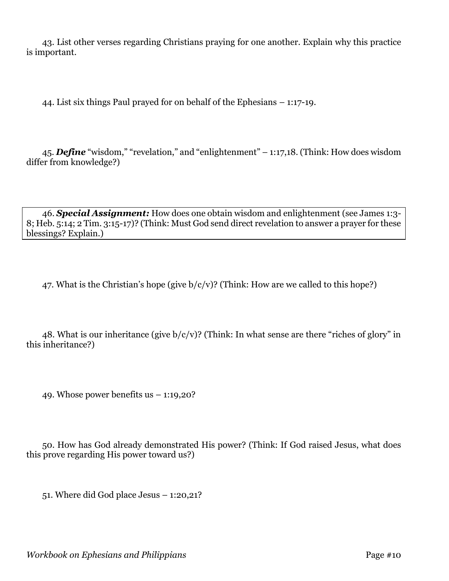43. List other verses regarding Christians praying for one another. Explain why this practice is important.

44. List six things Paul prayed for on behalf of the Ephesians – 1:17-19.

45. *Define* "wisdom," "revelation," and "enlightenment" – 1:17,18. (Think: How does wisdom differ from knowledge?)

46. *Special Assignment:* How does one obtain wisdom and enlightenment (see James 1:3- 8; Heb. 5:14; 2 Tim. 3:15-17)? (Think: Must God send direct revelation to answer a prayer for these blessings? Explain.)

47. What is the Christian's hope (give  $b/c/v$ )? (Think: How are we called to this hope?)

48. What is our inheritance (give  $b/c/v$ )? (Think: In what sense are there "riches of glory" in this inheritance?)

49. Whose power benefits us  $-1:19,20$ ?

50. How has God already demonstrated His power? (Think: If God raised Jesus, what does this prove regarding His power toward us?)

51. Where did God place Jesus – 1:20,21?

*Workbook on Ephesians and Philippians* Page #10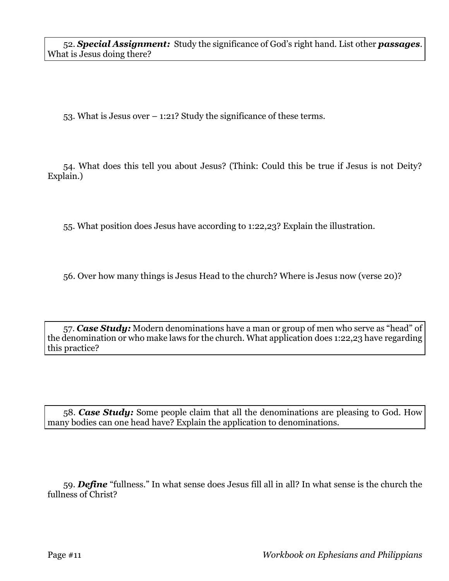53. What is Jesus over – 1:21? Study the significance of these terms.

54. What does this tell you about Jesus? (Think: Could this be true if Jesus is not Deity? Explain.)

55. What position does Jesus have according to 1:22,23? Explain the illustration.

56. Over how many things is Jesus Head to the church? Where is Jesus now (verse 20)?

57. *Case Study:* Modern denominations have a man or group of men who serve as "head" of the denomination or who make laws for the church. What application does 1:22,23 have regarding this practice?

58. *Case Study:* Some people claim that all the denominations are pleasing to God. How many bodies can one head have? Explain the application to denominations.

59. *Define* "fullness." In what sense does Jesus fill all in all? In what sense is the church the fullness of Christ?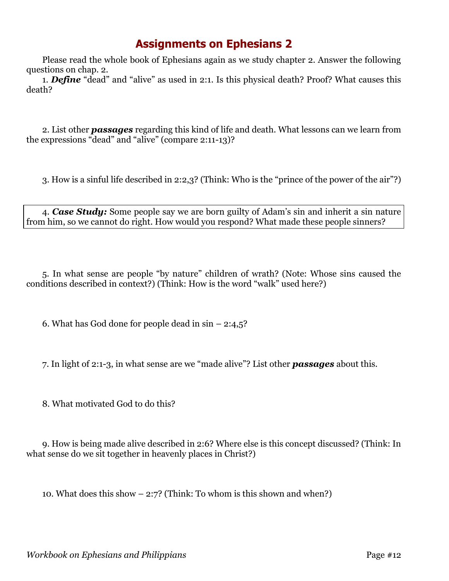## **Assignments on Ephesians 2**

Please read the whole book of Ephesians again as we study chapter 2. Answer the following questions on chap. 2.

1. *Define* "dead" and "alive" as used in 2:1. Is this physical death? Proof? What causes this death?

2. List other *passages* regarding this kind of life and death. What lessons can we learn from the expressions "dead" and "alive" (compare 2:11-13)?

3. How is a sinful life described in 2:2,3? (Think: Who is the "prince of the power of the air"?)

4. *Case Study:* Some people say we are born guilty of Adam's sin and inherit a sin nature from him, so we cannot do right. How would you respond? What made these people sinners?

5. In what sense are people "by nature" children of wrath? (Note: Whose sins caused the conditions described in context?) (Think: How is the word "walk" used here?)

6. What has God done for people dead in  $sin - 2:4,5$ ?

7. In light of 2:1-3, in what sense are we "made alive"? List other *passages* about this.

8. What motivated God to do this?

9. How is being made alive described in 2:6? Where else is this concept discussed? (Think: In what sense do we sit together in heavenly places in Christ?)

10. What does this show – 2:7? (Think: To whom is this shown and when?)

*Workbook on Ephesians and Philippians* Page #12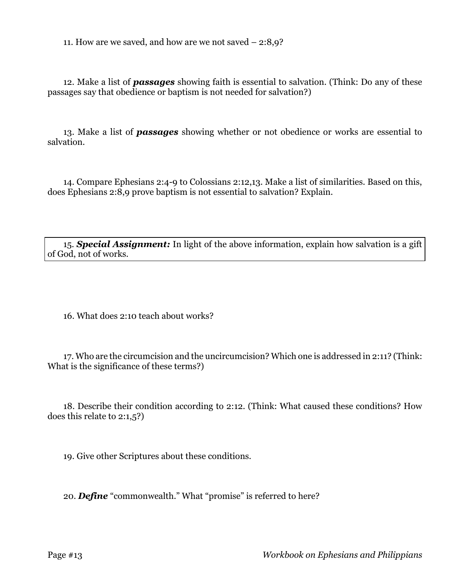11. How are we saved, and how are we not saved – 2:8,9?

12. Make a list of *passages* showing faith is essential to salvation. (Think: Do any of these passages say that obedience or baptism is not needed for salvation?)

13. Make a list of *passages* showing whether or not obedience or works are essential to salvation.

14. Compare Ephesians 2:4-9 to Colossians 2:12,13. Make a list of similarities. Based on this, does Ephesians 2:8,9 prove baptism is not essential to salvation? Explain.

15. *Special Assignment:* In light of the above information, explain how salvation is a gift of God, not of works.

16. What does 2:10 teach about works?

17. Who are the circumcision and the uncircumcision? Which one is addressed in 2:11? (Think: What is the significance of these terms?)

18. Describe their condition according to 2:12. (Think: What caused these conditions? How does this relate to 2:1,5?)

19. Give other Scriptures about these conditions.

20. *Define* "commonwealth." What "promise" is referred to here?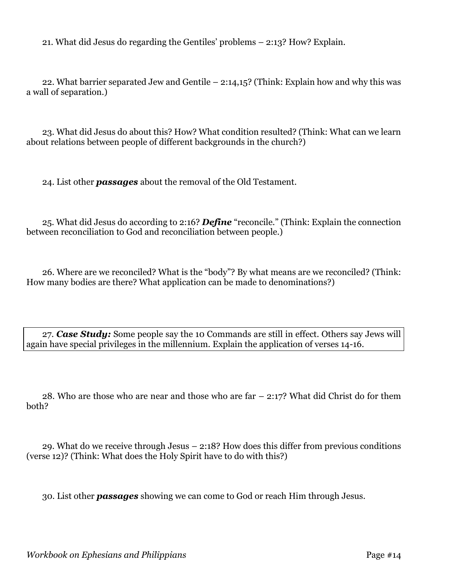21. What did Jesus do regarding the Gentiles' problems – 2:13? How? Explain.

22. What barrier separated Jew and Gentile – 2:14,15? (Think: Explain how and why this was a wall of separation.)

23. What did Jesus do about this? How? What condition resulted? (Think: What can we learn about relations between people of different backgrounds in the church?)

24. List other *passages* about the removal of the Old Testament.

25. What did Jesus do according to 2:16? *Define* "reconcile." (Think: Explain the connection between reconciliation to God and reconciliation between people.)

26. Where are we reconciled? What is the "body"? By what means are we reconciled? (Think: How many bodies are there? What application can be made to denominations?)

27. *Case Study:* Some people say the 10 Commands are still in effect. Others say Jews will again have special privileges in the millennium. Explain the application of verses 14-16.

28. Who are those who are near and those who are far – 2:17? What did Christ do for them both?

29. What do we receive through Jesus – 2:18? How does this differ from previous conditions (verse 12)? (Think: What does the Holy Spirit have to do with this?)

30. List other *passages* showing we can come to God or reach Him through Jesus.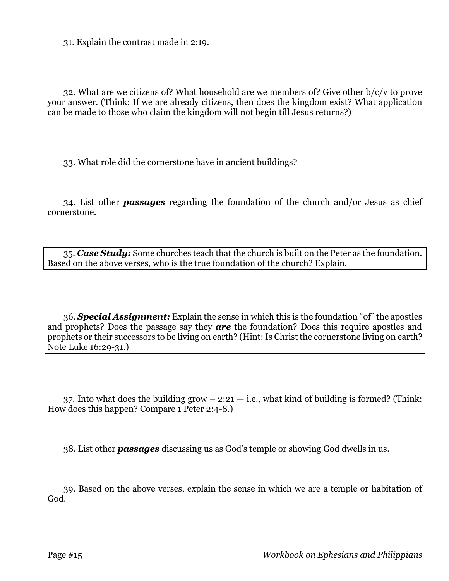31. Explain the contrast made in 2:19.

32. What are we citizens of? What household are we members of? Give other b/c/v to prove your answer. (Think: If we are already citizens, then does the kingdom exist? What application can be made to those who claim the kingdom will not begin till Jesus returns?)

33. What role did the cornerstone have in ancient buildings?

34. List other *passages* regarding the foundation of the church and/or Jesus as chief cornerstone.

35. *Case Study:* Some churches teach that the church is built on the Peter as the foundation. Based on the above verses, who is the true foundation of the church? Explain.

36. *Special Assignment:* Explain the sense in which this is the foundation "of" the apostles and prophets? Does the passage say they *are* the foundation? Does this require apostles and prophets or their successors to be living on earth? (Hint: Is Christ the cornerstone living on earth? Note Luke 16:29-31.)

37. Into what does the building grow  $-2:21$  - i.e., what kind of building is formed? (Think: How does this happen? Compare 1 Peter 2:4-8.)

38. List other *passages* discussing us as God's temple or showing God dwells in us.

39. Based on the above verses, explain the sense in which we are a temple or habitation of God.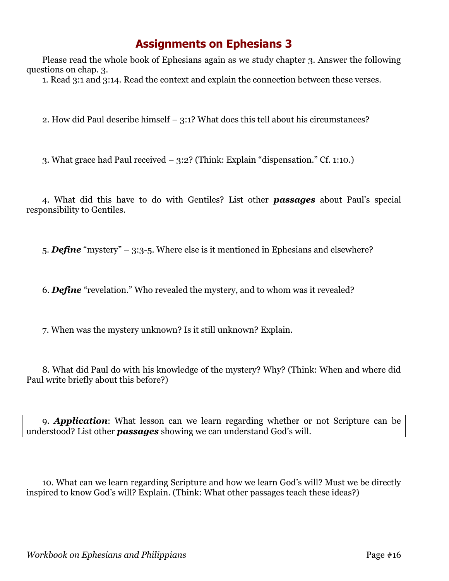## **Assignments on Ephesians 3**

Please read the whole book of Ephesians again as we study chapter 3. Answer the following questions on chap. 3.

1. Read 3:1 and 3:14. Read the context and explain the connection between these verses.

2. How did Paul describe himself – 3:1? What does this tell about his circumstances?

3. What grace had Paul received – 3:2? (Think: Explain "dispensation." Cf. 1:10.)

4. What did this have to do with Gentiles? List other *passages* about Paul's special responsibility to Gentiles.

5. *Define* "mystery" – 3:3-5. Where else is it mentioned in Ephesians and elsewhere?

6. *Define* "revelation." Who revealed the mystery, and to whom was it revealed?

7. When was the mystery unknown? Is it still unknown? Explain.

8. What did Paul do with his knowledge of the mystery? Why? (Think: When and where did Paul write briefly about this before?)

9. *Application*: What lesson can we learn regarding whether or not Scripture can be understood? List other *passages* showing we can understand God's will.

10. What can we learn regarding Scripture and how we learn God's will? Must we be directly inspired to know God's will? Explain. (Think: What other passages teach these ideas?)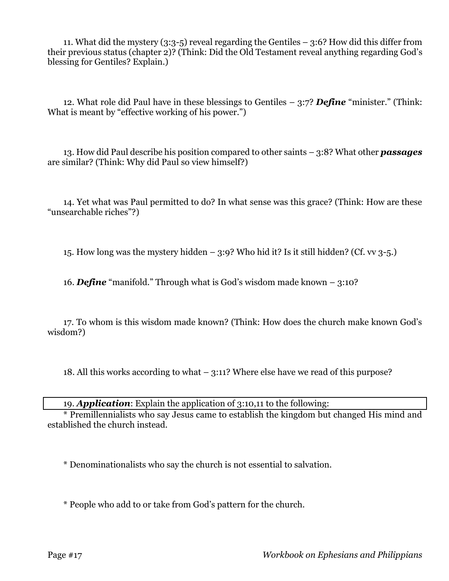11. What did the mystery (3:3-5) reveal regarding the Gentiles – 3:6? How did this differ from their previous status (chapter 2)? (Think: Did the Old Testament reveal anything regarding God's blessing for Gentiles? Explain.)

12. What role did Paul have in these blessings to Gentiles – 3:7? *Define* "minister." (Think: What is meant by "effective working of his power.")

13. How did Paul describe his position compared to other saints – 3:8? What other *passages* are similar? (Think: Why did Paul so view himself?)

14. Yet what was Paul permitted to do? In what sense was this grace? (Think: How are these "unsearchable riches"?)

15. How long was the mystery hidden  $-$  3:9? Who hid it? Is it still hidden? (Cf. vv 3-5.)

16. *Define* "manifold." Through what is God's wisdom made known – 3:10?

17. To whom is this wisdom made known? (Think: How does the church make known God's wisdom?)

18. All this works according to what – 3:11? Where else have we read of this purpose?

19. *Application*: Explain the application of 3:10,11 to the following:

\* Premillennialists who say Jesus came to establish the kingdom but changed His mind and established the church instead.

\* Denominationalists who say the church is not essential to salvation.

\* People who add to or take from God's pattern for the church.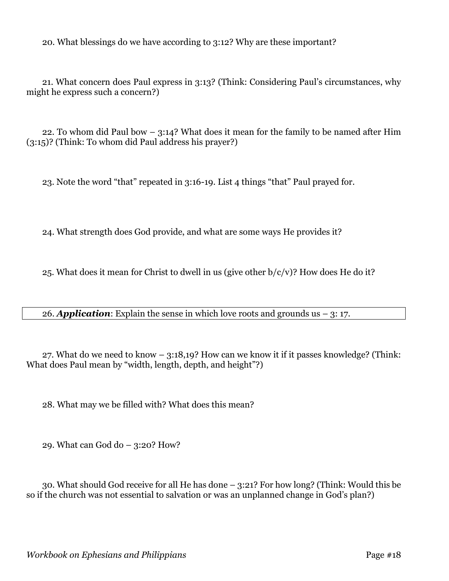20. What blessings do we have according to 3:12? Why are these important?

21. What concern does Paul express in 3:13? (Think: Considering Paul's circumstances, why might he express such a concern?)

22. To whom did Paul bow – 3:14? What does it mean for the family to be named after Him (3:15)? (Think: To whom did Paul address his prayer?)

23. Note the word "that" repeated in 3:16-19. List 4 things "that" Paul prayed for.

24. What strength does God provide, and what are some ways He provides it?

25. What does it mean for Christ to dwell in us (give other  $b/c/v$ )? How does He do it?

26. **Application**: Explain the sense in which love roots and grounds us  $-$  3: 17.

27. What do we need to know – 3:18,19? How can we know it if it passes knowledge? (Think: What does Paul mean by "width, length, depth, and height"?)

28. What may we be filled with? What does this mean?

29. What can God do – 3:20? How?

30. What should God receive for all He has done – 3:21? For how long? (Think: Would this be so if the church was not essential to salvation or was an unplanned change in God's plan?)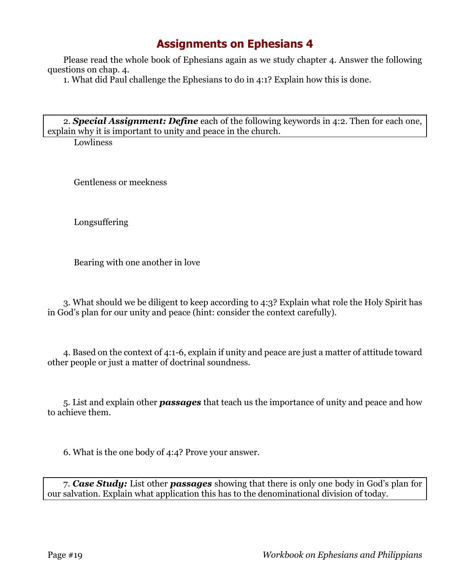## **Assignments on Ephesians 4**

Please read the whole book of Ephesians again as we study chapter 4. Answer the following questions on chap. 4.

1. What did Paul challenge the Ephesians to do in 4:1? Explain how this is done.

2. *Special Assignment: Define* each of the following keywords in 4:2. Then for each one, explain why it is important to unity and peace in the church.

**Lowliness** 

Gentleness or meekness

Longsuffering

Bearing with one another in love

3. What should we be diligent to keep according to 4:3? Explain what role the Holy Spirit has in God's plan for our unity and peace (hint: consider the context carefully).

4. Based on the context of 4:1-6, explain if unity and peace are just a matter of attitude toward other people or just a matter of doctrinal soundness.

5. List and explain other *passages* that teach us the importance of unity and peace and how to achieve them.

6. What is the one body of 4:4? Prove your answer.

7. *Case Study:* List other *passages* showing that there is only one body in God's plan for our salvation. Explain what application this has to the denominational division of today.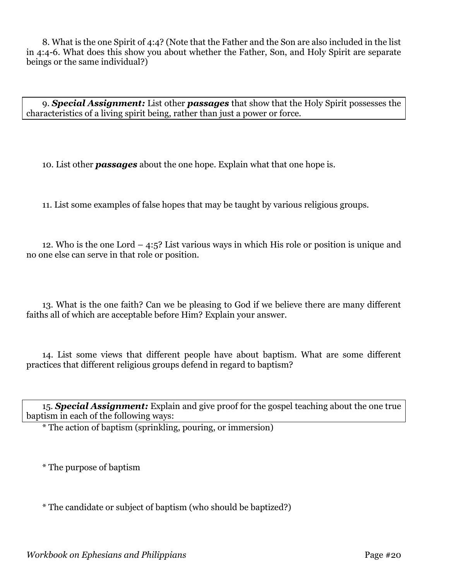8. What is the one Spirit of 4:4? (Note that the Father and the Son are also included in the list in 4:4-6. What does this show you about whether the Father, Son, and Holy Spirit are separate beings or the same individual?)

9. *Special Assignment:* List other *passages* that show that the Holy Spirit possesses the characteristics of a living spirit being, rather than just a power or force.

10. List other *passages* about the one hope. Explain what that one hope is.

11. List some examples of false hopes that may be taught by various religious groups.

12. Who is the one Lord – 4:5? List various ways in which His role or position is unique and no one else can serve in that role or position.

13. What is the one faith? Can we be pleasing to God if we believe there are many different faiths all of which are acceptable before Him? Explain your answer.

14. List some views that different people have about baptism. What are some different practices that different religious groups defend in regard to baptism?

15. *Special Assignment:* Explain and give proof for the gospel teaching about the one true baptism in each of the following ways:

\* The action of baptism (sprinkling, pouring, or immersion)

\* The purpose of baptism

\* The candidate or subject of baptism (who should be baptized?)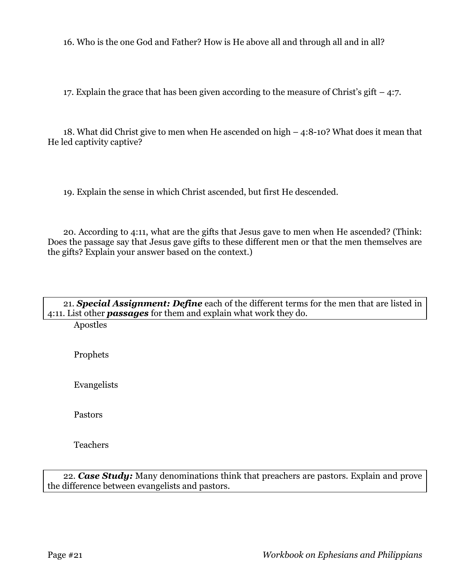16. Who is the one God and Father? How is He above all and through all and in all?

17. Explain the grace that has been given according to the measure of Christ's gift – 4:7.

18. What did Christ give to men when He ascended on high – 4:8-10? What does it mean that He led captivity captive?

19. Explain the sense in which Christ ascended, but first He descended.

20. According to 4:11, what are the gifts that Jesus gave to men when He ascended? (Think: Does the passage say that Jesus gave gifts to these different men or that the men themselves are the gifts? Explain your answer based on the context.)

| 21. Special Assignment: Define each of the different terms for the men that are listed in |
|-------------------------------------------------------------------------------------------|
| 4:11. List other <b>passages</b> for them and explain what work they do.                  |

Apostles

Prophets

Evangelists

Pastors

Teachers

22. *Case Study:* Many denominations think that preachers are pastors. Explain and prove the difference between evangelists and pastors.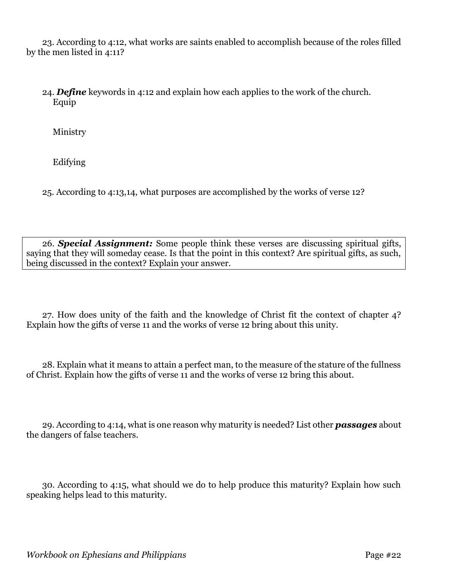23. According to 4:12, what works are saints enabled to accomplish because of the roles filled by the men listed in 4:11?

24. *Define* keywords in 4:12 and explain how each applies to the work of the church. Equip

Ministry

Edifying

25. According to 4:13,14, what purposes are accomplished by the works of verse 12?

26. *Special Assignment:* Some people think these verses are discussing spiritual gifts, saying that they will someday cease. Is that the point in this context? Are spiritual gifts, as such, being discussed in the context? Explain your answer.

27. How does unity of the faith and the knowledge of Christ fit the context of chapter 4? Explain how the gifts of verse 11 and the works of verse 12 bring about this unity.

28. Explain what it means to attain a perfect man, to the measure of the stature of the fullness of Christ. Explain how the gifts of verse 11 and the works of verse 12 bring this about.

29. According to 4:14, what is one reason why maturity is needed? List other *passages* about the dangers of false teachers.

30. According to 4:15, what should we do to help produce this maturity? Explain how such speaking helps lead to this maturity.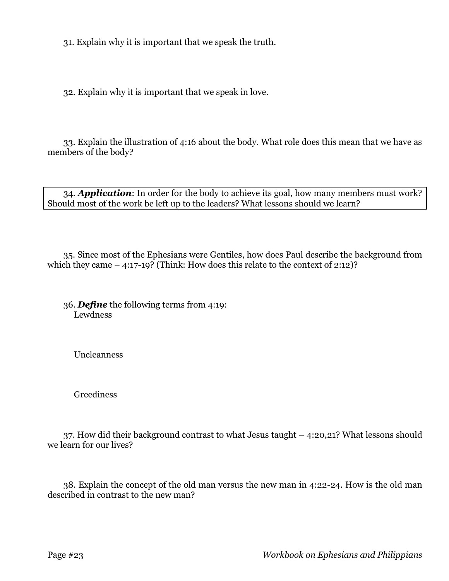31. Explain why it is important that we speak the truth.

32. Explain why it is important that we speak in love.

33. Explain the illustration of 4:16 about the body. What role does this mean that we have as members of the body?

34. *Application*: In order for the body to achieve its goal, how many members must work? Should most of the work be left up to the leaders? What lessons should we learn?

35. Since most of the Ephesians were Gentiles, how does Paul describe the background from which they came  $-4:17-19$ ? (Think: How does this relate to the context of 2:12)?

36. *Define* the following terms from 4:19: Lewdness

Uncleanness

Greediness

37. How did their background contrast to what Jesus taught – 4:20,21? What lessons should we learn for our lives?

38. Explain the concept of the old man versus the new man in 4:22-24. How is the old man described in contrast to the new man?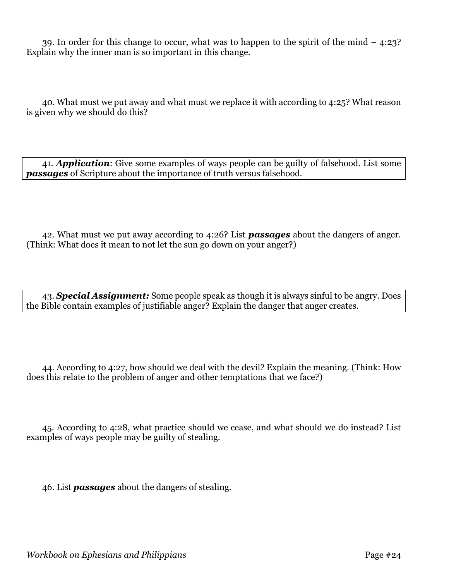39. In order for this change to occur, what was to happen to the spirit of the mind – 4:23? Explain why the inner man is so important in this change.

40. What must we put away and what must we replace it with according to 4:25? What reason is given why we should do this?

41. *Application*: Give some examples of ways people can be guilty of falsehood. List some *passages* of Scripture about the importance of truth versus falsehood.

42. What must we put away according to 4:26? List *passages* about the dangers of anger. (Think: What does it mean to not let the sun go down on your anger?)

43. *Special Assignment:* Some people speak as though it is always sinful to be angry. Does the Bible contain examples of justifiable anger? Explain the danger that anger creates.

44. According to 4:27, how should we deal with the devil? Explain the meaning. (Think: How does this relate to the problem of anger and other temptations that we face?)

45. According to 4:28, what practice should we cease, and what should we do instead? List examples of ways people may be guilty of stealing.

46. List *passages* about the dangers of stealing.

*Workbook on Ephesians and Philippians* Page #24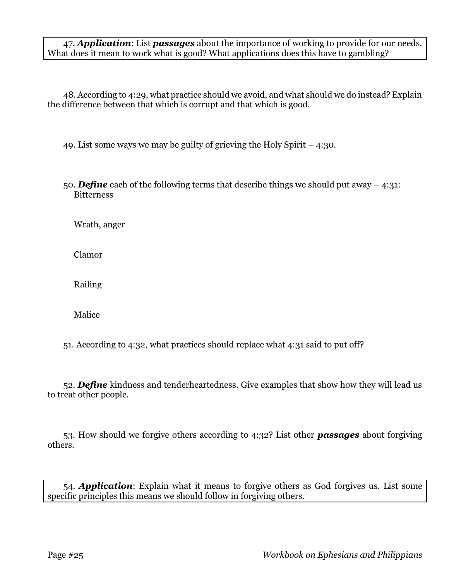47. *Application*: List *passages* about the importance of working to provide for our needs. What does it mean to work what is good? What applications does this have to gambling?

48. According to 4:29, what practice should we avoid, and what should we do instead? Explain the difference between that which is corrupt and that which is good.

49. List some ways we may be guilty of grieving the Holy Spirit – 4:30.

50. *Define* each of the following terms that describe things we should put away – 4:31: Bitterness

Wrath, anger

Clamor

Railing

Malice

51. According to 4:32, what practices should replace what 4:31 said to put off?

52. *Define* kindness and tenderheartedness. Give examples that show how they will lead us to treat other people.

53. How should we forgive others according to 4:32? List other *passages* about forgiving others.

54. *Application*: Explain what it means to forgive others as God forgives us. List some specific principles this means we should follow in forgiving others.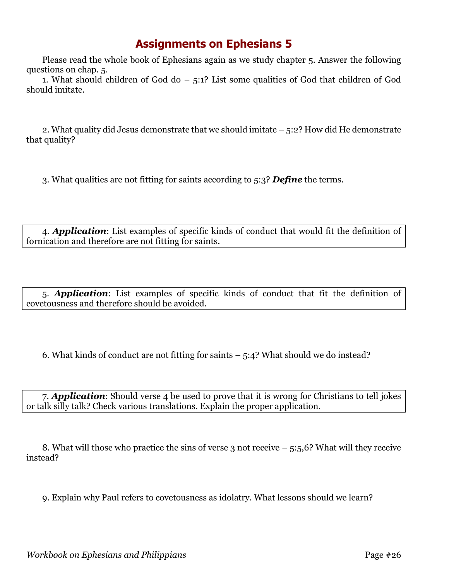## **Assignments on Ephesians 5**

Please read the whole book of Ephesians again as we study chapter 5. Answer the following questions on chap. 5.

1. What should children of God do – 5:1? List some qualities of God that children of God should imitate.

2. What quality did Jesus demonstrate that we should imitate – 5:2? How did He demonstrate that quality?

3. What qualities are not fitting for saints according to 5:3? *Define* the terms.

4. *Application*: List examples of specific kinds of conduct that would fit the definition of fornication and therefore are not fitting for saints.

5. *Application*: List examples of specific kinds of conduct that fit the definition of covetousness and therefore should be avoided.

6. What kinds of conduct are not fitting for saints  $-5:4$ ? What should we do instead?

7. *Application*: Should verse 4 be used to prove that it is wrong for Christians to tell jokes or talk silly talk? Check various translations. Explain the proper application.

8. What will those who practice the sins of verse 3 not receive  $-5:5,6$ ? What will they receive instead?

9. Explain why Paul refers to covetousness as idolatry. What lessons should we learn?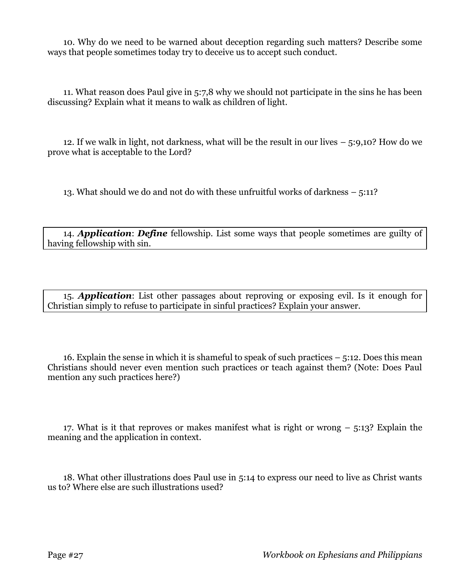10. Why do we need to be warned about deception regarding such matters? Describe some ways that people sometimes today try to deceive us to accept such conduct.

11. What reason does Paul give in 5:7,8 why we should not participate in the sins he has been discussing? Explain what it means to walk as children of light.

12. If we walk in light, not darkness, what will be the result in our lives – 5:9,10? How do we prove what is acceptable to the Lord?

13. What should we do and not do with these unfruitful works of darkness – 5:11?

14. *Application*: *Define* fellowship. List some ways that people sometimes are guilty of having fellowship with sin.

15. *Application*: List other passages about reproving or exposing evil. Is it enough for Christian simply to refuse to participate in sinful practices? Explain your answer.

16. Explain the sense in which it is shameful to speak of such practices – 5:12. Does this mean Christians should never even mention such practices or teach against them? (Note: Does Paul mention any such practices here?)

17. What is it that reproves or makes manifest what is right or wrong – 5:13? Explain the meaning and the application in context.

18. What other illustrations does Paul use in 5:14 to express our need to live as Christ wants us to? Where else are such illustrations used?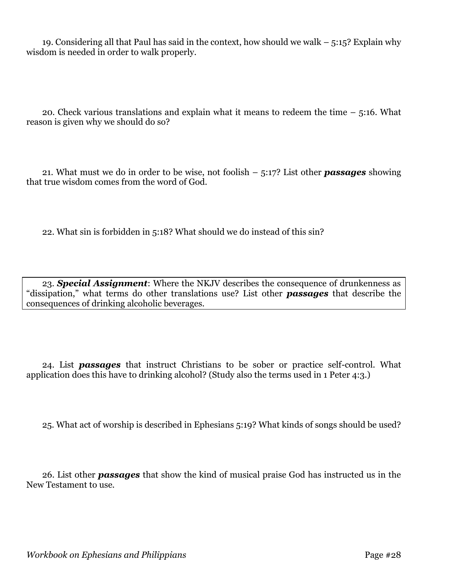19. Considering all that Paul has said in the context, how should we walk – 5:15? Explain why wisdom is needed in order to walk properly.

20. Check various translations and explain what it means to redeem the time – 5:16. What reason is given why we should do so?

21. What must we do in order to be wise, not foolish – 5:17? List other *passages* showing that true wisdom comes from the word of God.

22. What sin is forbidden in 5:18? What should we do instead of this sin?

23. *Special Assignment*: Where the NKJV describes the consequence of drunkenness as "dissipation," what terms do other translations use? List other *passages* that describe the consequences of drinking alcoholic beverages.

24. List *passages* that instruct Christians to be sober or practice self-control. What application does this have to drinking alcohol? (Study also the terms used in 1 Peter 4:3.)

25. What act of worship is described in Ephesians 5:19? What kinds of songs should be used?

26. List other *passages* that show the kind of musical praise God has instructed us in the New Testament to use.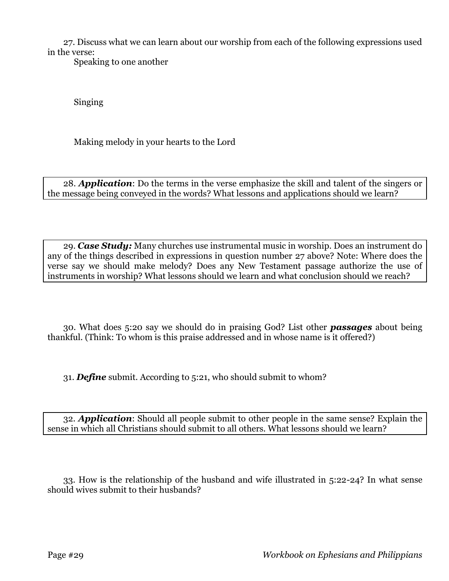27. Discuss what we can learn about our worship from each of the following expressions used in the verse:

Speaking to one another

Singing

Making melody in your hearts to the Lord

28. *Application*: Do the terms in the verse emphasize the skill and talent of the singers or the message being conveyed in the words? What lessons and applications should we learn?

29. *Case Study:* Many churches use instrumental music in worship. Does an instrument do any of the things described in expressions in question number 27 above? Note: Where does the verse say we should make melody? Does any New Testament passage authorize the use of instruments in worship? What lessons should we learn and what conclusion should we reach?

30. What does 5:20 say we should do in praising God? List other *passages* about being thankful. (Think: To whom is this praise addressed and in whose name is it offered?)

31. *Define* submit. According to 5:21, who should submit to whom?

32. *Application*: Should all people submit to other people in the same sense? Explain the sense in which all Christians should submit to all others. What lessons should we learn?

33. How is the relationship of the husband and wife illustrated in 5:22-24? In what sense should wives submit to their husbands?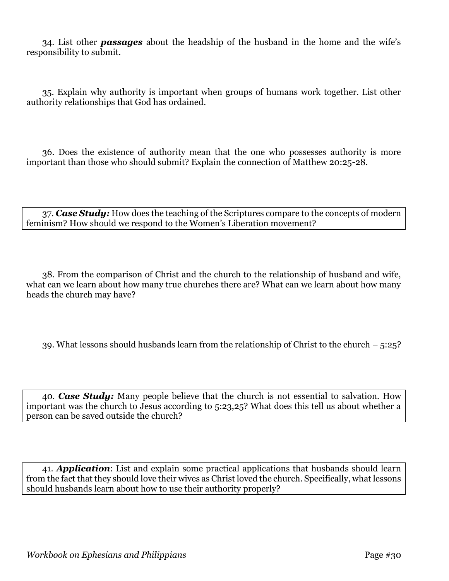34. List other *passages* about the headship of the husband in the home and the wife's responsibility to submit.

35. Explain why authority is important when groups of humans work together. List other authority relationships that God has ordained.

36. Does the existence of authority mean that the one who possesses authority is more important than those who should submit? Explain the connection of Matthew 20:25-28.

37. *Case Study:* How does the teaching of the Scriptures compare to the concepts of modern feminism? How should we respond to the Women's Liberation movement?

38. From the comparison of Christ and the church to the relationship of husband and wife, what can we learn about how many true churches there are? What can we learn about how many heads the church may have?

39. What lessons should husbands learn from the relationship of Christ to the church – 5:25?

40. *Case Study:* Many people believe that the church is not essential to salvation. How important was the church to Jesus according to 5:23,25? What does this tell us about whether a person can be saved outside the church?

41. *Application*: List and explain some practical applications that husbands should learn from the fact that they should love their wives as Christ loved the church. Specifically, what lessons should husbands learn about how to use their authority properly?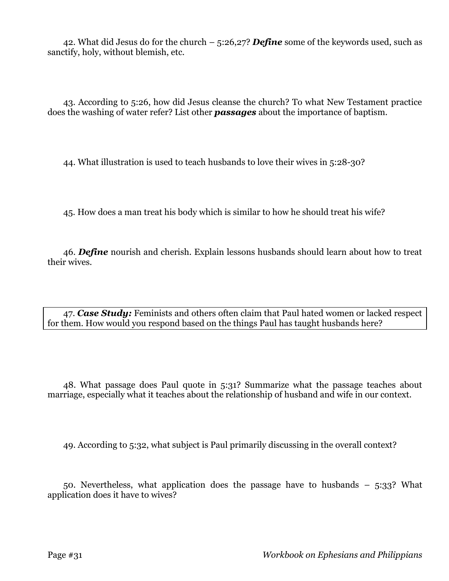42. What did Jesus do for the church – 5:26,27? *Define* some of the keywords used, such as sanctify, holy, without blemish, etc.

43. According to 5:26, how did Jesus cleanse the church? To what New Testament practice does the washing of water refer? List other *passages* about the importance of baptism.

44. What illustration is used to teach husbands to love their wives in 5:28-30?

45. How does a man treat his body which is similar to how he should treat his wife?

46. *Define* nourish and cherish. Explain lessons husbands should learn about how to treat their wives.

47. *Case Study:* Feminists and others often claim that Paul hated women or lacked respect for them. How would you respond based on the things Paul has taught husbands here?

48. What passage does Paul quote in 5:31? Summarize what the passage teaches about marriage, especially what it teaches about the relationship of husband and wife in our context.

49. According to 5:32, what subject is Paul primarily discussing in the overall context?

50. Nevertheless, what application does the passage have to husbands – 5:33? What application does it have to wives?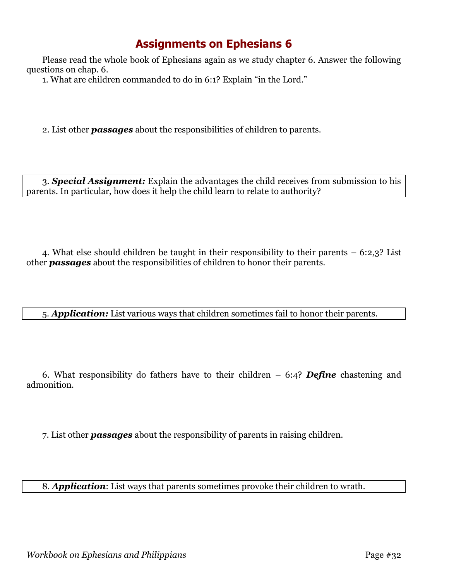## **Assignments on Ephesians 6**

Please read the whole book of Ephesians again as we study chapter 6. Answer the following questions on chap. 6.

1. What are children commanded to do in 6:1? Explain "in the Lord."

2. List other *passages* about the responsibilities of children to parents.

3. *Special Assignment:* Explain the advantages the child receives from submission to his parents. In particular, how does it help the child learn to relate to authority?

4. What else should children be taught in their responsibility to their parents – 6:2,3? List other *passages* about the responsibilities of children to honor their parents.

5. *Application:* List various ways that children sometimes fail to honor their parents.

6. What responsibility do fathers have to their children – 6:4? *Define* chastening and admonition.

7. List other *passages* about the responsibility of parents in raising children.

8. *Application*: List ways that parents sometimes provoke their children to wrath.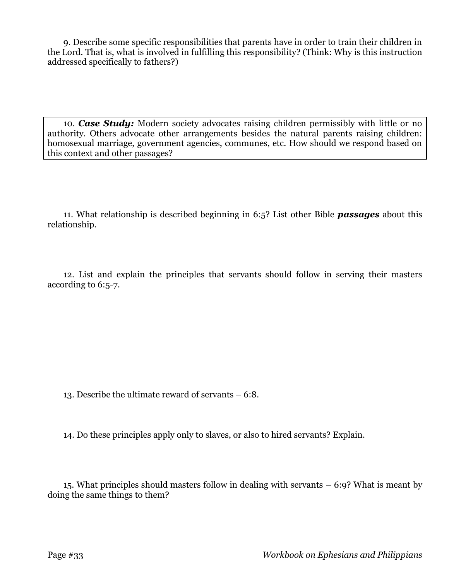9. Describe some specific responsibilities that parents have in order to train their children in the Lord. That is, what is involved in fulfilling this responsibility? (Think: Why is this instruction addressed specifically to fathers?)

10. *Case Study:* Modern society advocates raising children permissibly with little or no authority. Others advocate other arrangements besides the natural parents raising children: homosexual marriage, government agencies, communes, etc. How should we respond based on this context and other passages?

11. What relationship is described beginning in 6:5? List other Bible *passages* about this relationship.

12. List and explain the principles that servants should follow in serving their masters according to 6:5-7.

13. Describe the ultimate reward of servants – 6:8.

14. Do these principles apply only to slaves, or also to hired servants? Explain.

15. What principles should masters follow in dealing with servants – 6:9? What is meant by doing the same things to them?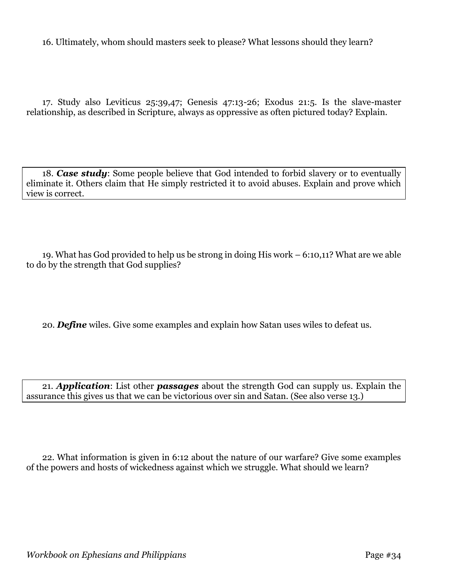16. Ultimately, whom should masters seek to please? What lessons should they learn?

17. Study also Leviticus 25:39,47; Genesis 47:13-26; Exodus 21:5. Is the slave-master relationship, as described in Scripture, always as oppressive as often pictured today? Explain.

18. *Case study*: Some people believe that God intended to forbid slavery or to eventually eliminate it. Others claim that He simply restricted it to avoid abuses. Explain and prove which view is correct.

19. What has God provided to help us be strong in doing His work – 6:10,11? What are we able to do by the strength that God supplies?

20. *Define* wiles. Give some examples and explain how Satan uses wiles to defeat us.

21. *Application*: List other *passages* about the strength God can supply us. Explain the assurance this gives us that we can be victorious over sin and Satan. (See also verse 13.)

22. What information is given in 6:12 about the nature of our warfare? Give some examples of the powers and hosts of wickedness against which we struggle. What should we learn?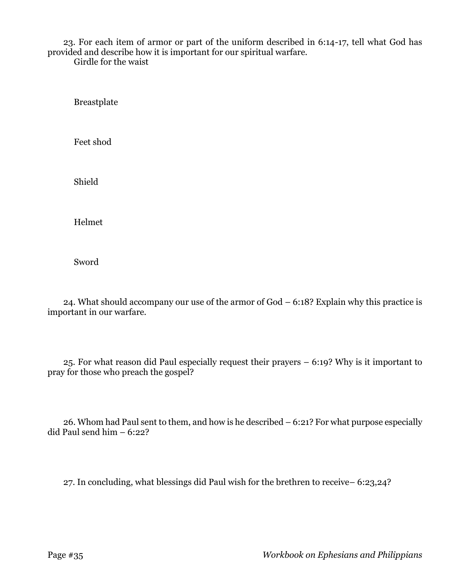23. For each item of armor or part of the uniform described in 6:14-17, tell what God has provided and describe how it is important for our spiritual warfare.

Girdle for the waist

Breastplate

Feet shod

Shield

Helmet

Sword

24. What should accompany our use of the armor of God – 6:18? Explain why this practice is important in our warfare.

25. For what reason did Paul especially request their prayers – 6:19? Why is it important to pray for those who preach the gospel?

26. Whom had Paul sent to them, and how is he described – 6:21? For what purpose especially did Paul send him – 6:22?

27. In concluding, what blessings did Paul wish for the brethren to receive– 6:23,24?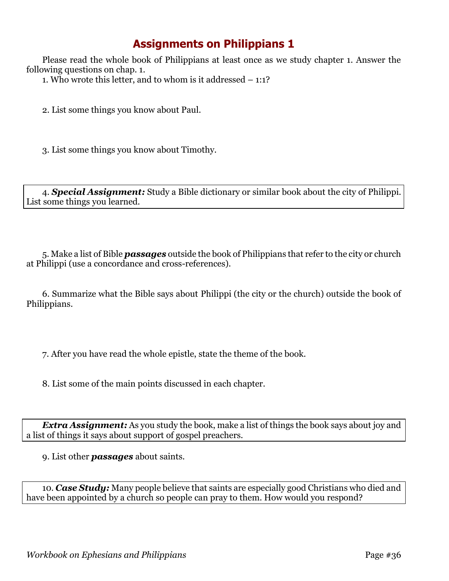## **Assignments on Philippians 1**

Please read the whole book of Philippians at least once as we study chapter 1. Answer the following questions on chap. 1.

1. Who wrote this letter, and to whom is it addressed – 1:1?

2. List some things you know about Paul.

3. List some things you know about Timothy.

4. *Special Assignment:* Study a Bible dictionary or similar book about the city of Philippi. List some things you learned.

5. Make a list of Bible *passages* outside the book of Philippians that refer to the city or church at Philippi (use a concordance and cross-references).

6. Summarize what the Bible says about Philippi (the city or the church) outside the book of Philippians.

7. After you have read the whole epistle, state the theme of the book.

8. List some of the main points discussed in each chapter.

*Extra Assignment:* As you study the book, make a list of things the book says about joy and a list of things it says about support of gospel preachers.

9. List other *passages* about saints.

10. *Case Study:* Many people believe that saints are especially good Christians who died and have been appointed by a church so people can pray to them. How would you respond?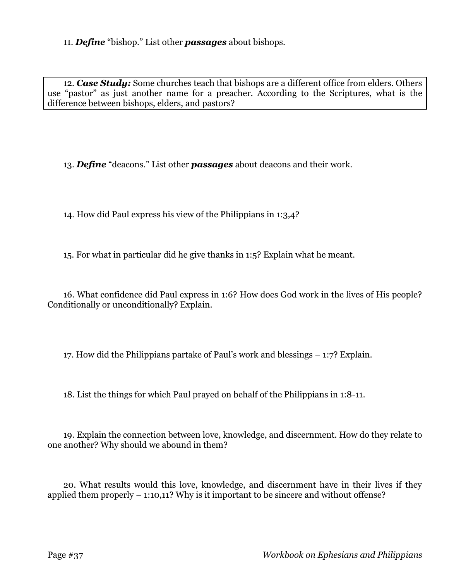11. *Define* "bishop." List other *passages* about bishops.

12. *Case Study:* Some churches teach that bishops are a different office from elders. Others use "pastor" as just another name for a preacher. According to the Scriptures, what is the difference between bishops, elders, and pastors?

13. *Define* "deacons." List other *passages* about deacons and their work.

14. How did Paul express his view of the Philippians in 1:3,4?

15. For what in particular did he give thanks in 1:5? Explain what he meant.

16. What confidence did Paul express in 1:6? How does God work in the lives of His people? Conditionally or unconditionally? Explain.

17. How did the Philippians partake of Paul's work and blessings – 1:7? Explain.

18. List the things for which Paul prayed on behalf of the Philippians in 1:8-11.

19. Explain the connection between love, knowledge, and discernment. How do they relate to one another? Why should we abound in them?

20. What results would this love, knowledge, and discernment have in their lives if they applied them properly – 1:10,11? Why is it important to be sincere and without offense?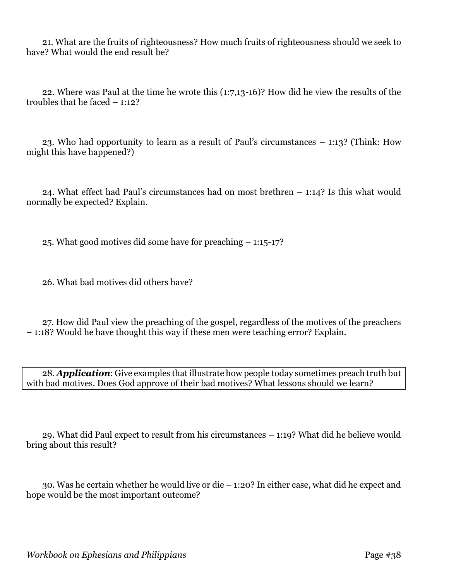21. What are the fruits of righteousness? How much fruits of righteousness should we seek to have? What would the end result be?

22. Where was Paul at the time he wrote this (1:7,13-16)? How did he view the results of the troubles that he faced – 1:12?

23. Who had opportunity to learn as a result of Paul's circumstances – 1:13? (Think: How might this have happened?)

24. What effect had Paul's circumstances had on most brethren – 1:14? Is this what would normally be expected? Explain.

25. What good motives did some have for preaching – 1:15-17?

26. What bad motives did others have?

27. How did Paul view the preaching of the gospel, regardless of the motives of the preachers – 1:18? Would he have thought this way if these men were teaching error? Explain.

28. *Application*: Give examples that illustrate how people today sometimes preach truth but with bad motives. Does God approve of their bad motives? What lessons should we learn?

29. What did Paul expect to result from his circumstances – 1:19? What did he believe would bring about this result?

30. Was he certain whether he would live or die – 1:20? In either case, what did he expect and hope would be the most important outcome?

*Workbook on Ephesians and Philippians* Page #38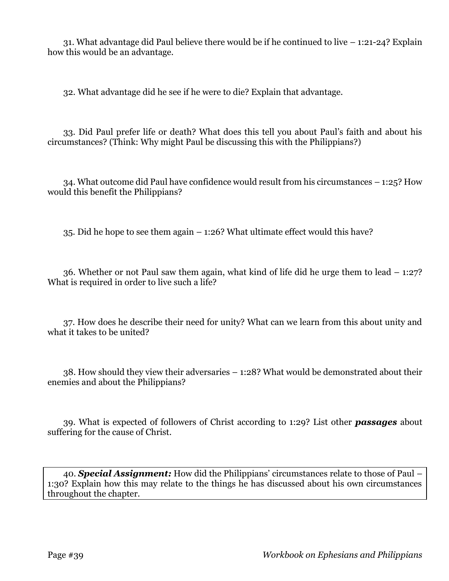31. What advantage did Paul believe there would be if he continued to live – 1:21-24? Explain how this would be an advantage.

32. What advantage did he see if he were to die? Explain that advantage.

33. Did Paul prefer life or death? What does this tell you about Paul's faith and about his circumstances? (Think: Why might Paul be discussing this with the Philippians?)

34. What outcome did Paul have confidence would result from his circumstances – 1:25? How would this benefit the Philippians?

35. Did he hope to see them again – 1:26? What ultimate effect would this have?

36. Whether or not Paul saw them again, what kind of life did he urge them to lead – 1:27? What is required in order to live such a life?

37. How does he describe their need for unity? What can we learn from this about unity and what it takes to be united?

38. How should they view their adversaries – 1:28? What would be demonstrated about their enemies and about the Philippians?

39. What is expected of followers of Christ according to 1:29? List other *passages* about suffering for the cause of Christ.

40. *Special Assignment:* How did the Philippians' circumstances relate to those of Paul – 1:30? Explain how this may relate to the things he has discussed about his own circumstances throughout the chapter.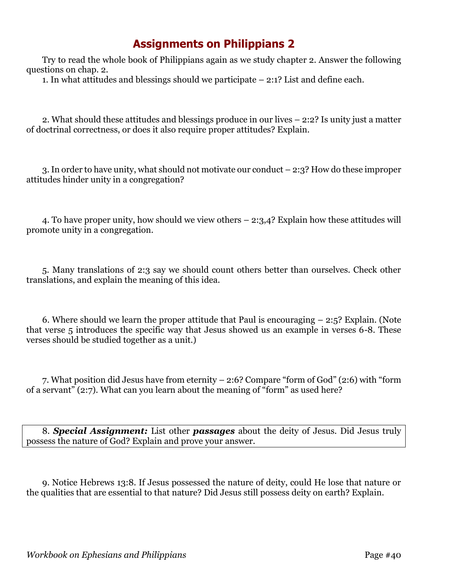## **Assignments on Philippians 2**

Try to read the whole book of Philippians again as we study chapter 2. Answer the following questions on chap. 2.

1. In what attitudes and blessings should we participate  $-2:1$ ? List and define each.

2. What should these attitudes and blessings produce in our lives – 2:2? Is unity just a matter of doctrinal correctness, or does it also require proper attitudes? Explain.

3. In order to have unity, what should not motivate our conduct – 2:3? How do these improper attitudes hinder unity in a congregation?

4. To have proper unity, how should we view others – 2:3,4? Explain how these attitudes will promote unity in a congregation.

5. Many translations of 2:3 say we should count others better than ourselves. Check other translations, and explain the meaning of this idea.

6. Where should we learn the proper attitude that Paul is encouraging  $-2.5$ ? Explain. (Note that verse 5 introduces the specific way that Jesus showed us an example in verses 6-8. These verses should be studied together as a unit.)

7. What position did Jesus have from eternity – 2:6? Compare "form of God" (2:6) with "form of a servant" (2:7). What can you learn about the meaning of "form" as used here?

8. *Special Assignment:* List other *passages* about the deity of Jesus. Did Jesus truly possess the nature of God? Explain and prove your answer.

9. Notice Hebrews 13:8. If Jesus possessed the nature of deity, could He lose that nature or the qualities that are essential to that nature? Did Jesus still possess deity on earth? Explain.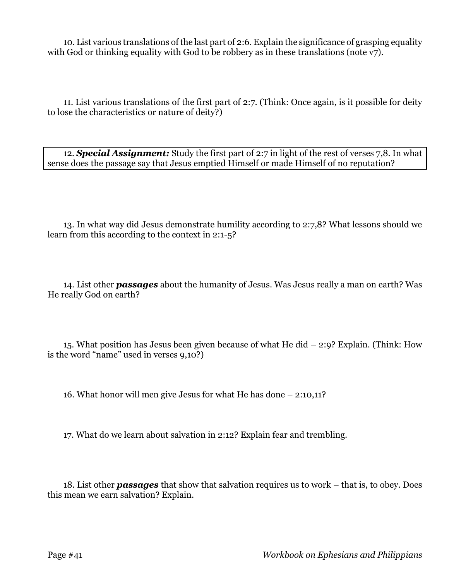10. List various translations of the last part of 2:6. Explain the significance of grasping equality with God or thinking equality with God to be robbery as in these translations (note v7).

11. List various translations of the first part of 2:7. (Think: Once again, is it possible for deity to lose the characteristics or nature of deity?)

12. *Special Assignment:* Study the first part of 2:7 in light of the rest of verses 7,8. In what sense does the passage say that Jesus emptied Himself or made Himself of no reputation?

13. In what way did Jesus demonstrate humility according to 2:7,8? What lessons should we learn from this according to the context in 2:1-5?

14. List other *passages* about the humanity of Jesus. Was Jesus really a man on earth? Was He really God on earth?

15. What position has Jesus been given because of what He did – 2:9? Explain. (Think: How is the word "name" used in verses 9,10?)

16. What honor will men give Jesus for what He has done – 2:10,11?

17. What do we learn about salvation in 2:12? Explain fear and trembling.

18. List other *passages* that show that salvation requires us to work – that is, to obey. Does this mean we earn salvation? Explain.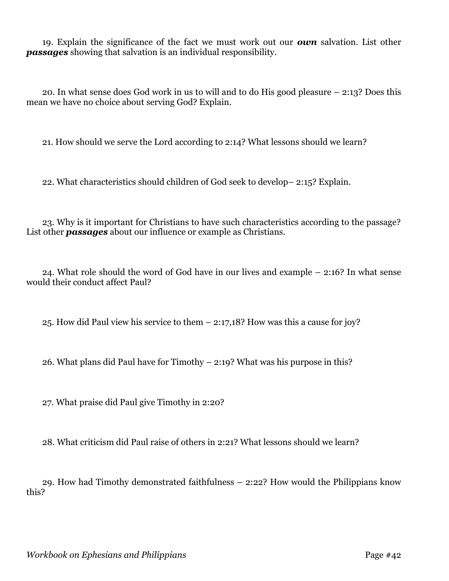19. Explain the significance of the fact we must work out our *own* salvation. List other *passages* showing that salvation is an individual responsibility.

20. In what sense does God work in us to will and to do His good pleasure – 2:13? Does this mean we have no choice about serving God? Explain.

21. How should we serve the Lord according to 2:14? What lessons should we learn?

22. What characteristics should children of God seek to develop– 2:15? Explain.

23. Why is it important for Christians to have such characteristics according to the passage? List other *passages* about our influence or example as Christians.

24. What role should the word of God have in our lives and example – 2:16? In what sense would their conduct affect Paul?

25. How did Paul view his service to them – 2:17,18? How was this a cause for joy?

26. What plans did Paul have for Timothy – 2:19? What was his purpose in this?

27. What praise did Paul give Timothy in 2:20?

28. What criticism did Paul raise of others in 2:21? What lessons should we learn?

29. How had Timothy demonstrated faithfulness – 2:22? How would the Philippians know this?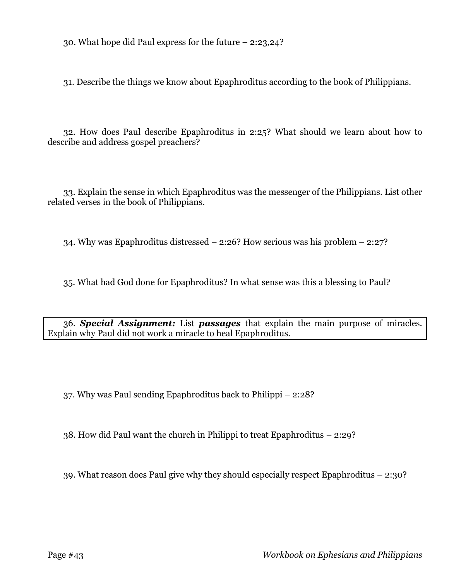30. What hope did Paul express for the future – 2:23,24?

31. Describe the things we know about Epaphroditus according to the book of Philippians.

32. How does Paul describe Epaphroditus in 2:25? What should we learn about how to describe and address gospel preachers?

33. Explain the sense in which Epaphroditus was the messenger of the Philippians. List other related verses in the book of Philippians.

34. Why was Epaphroditus distressed – 2:26? How serious was his problem – 2:27?

35. What had God done for Epaphroditus? In what sense was this a blessing to Paul?

36. *Special Assignment:* List *passages* that explain the main purpose of miracles. Explain why Paul did not work a miracle to heal Epaphroditus.

37. Why was Paul sending Epaphroditus back to Philippi – 2:28?

38. How did Paul want the church in Philippi to treat Epaphroditus – 2:29?

39. What reason does Paul give why they should especially respect Epaphroditus – 2:30?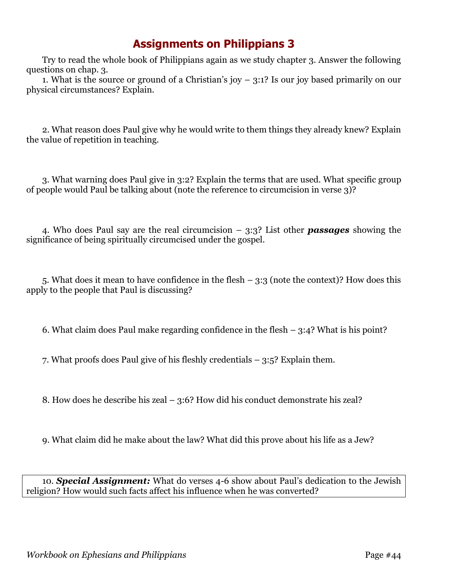## **Assignments on Philippians 3**

Try to read the whole book of Philippians again as we study chapter 3. Answer the following questions on chap. 3.

1. What is the source or ground of a Christian's joy  $-3:1$ ? Is our joy based primarily on our physical circumstances? Explain.

2. What reason does Paul give why he would write to them things they already knew? Explain the value of repetition in teaching.

3. What warning does Paul give in 3:2? Explain the terms that are used. What specific group of people would Paul be talking about (note the reference to circumcision in verse 3)?

4. Who does Paul say are the real circumcision – 3:3? List other *passages* showing the significance of being spiritually circumcised under the gospel.

5. What does it mean to have confidence in the flesh – 3:3 (note the context)? How does this apply to the people that Paul is discussing?

6. What claim does Paul make regarding confidence in the flesh  $-$  3:4? What is his point?

7. What proofs does Paul give of his fleshly credentials – 3:5? Explain them.

8. How does he describe his zeal – 3:6? How did his conduct demonstrate his zeal?

9. What claim did he make about the law? What did this prove about his life as a Jew?

10. *Special Assignment:* What do verses 4-6 show about Paul's dedication to the Jewish religion? How would such facts affect his influence when he was converted?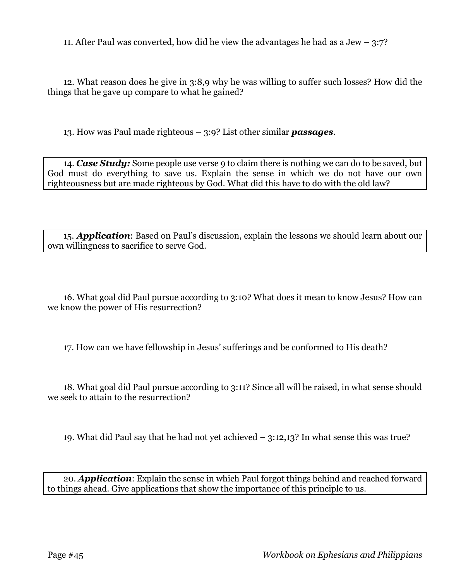11. After Paul was converted, how did he view the advantages he had as a Jew  $-3:7$ ?

12. What reason does he give in 3:8,9 why he was willing to suffer such losses? How did the things that he gave up compare to what he gained?

13. How was Paul made righteous – 3:9? List other similar *passages*.

14. *Case Study:* Some people use verse 9 to claim there is nothing we can do to be saved, but God must do everything to save us. Explain the sense in which we do not have our own righteousness but are made righteous by God. What did this have to do with the old law?

15. *Application*: Based on Paul's discussion, explain the lessons we should learn about our own willingness to sacrifice to serve God.

16. What goal did Paul pursue according to 3:10? What does it mean to know Jesus? How can we know the power of His resurrection?

17. How can we have fellowship in Jesus' sufferings and be conformed to His death?

18. What goal did Paul pursue according to 3:11? Since all will be raised, in what sense should we seek to attain to the resurrection?

19. What did Paul say that he had not yet achieved – 3:12,13? In what sense this was true?

20. *Application*: Explain the sense in which Paul forgot things behind and reached forward to things ahead. Give applications that show the importance of this principle to us.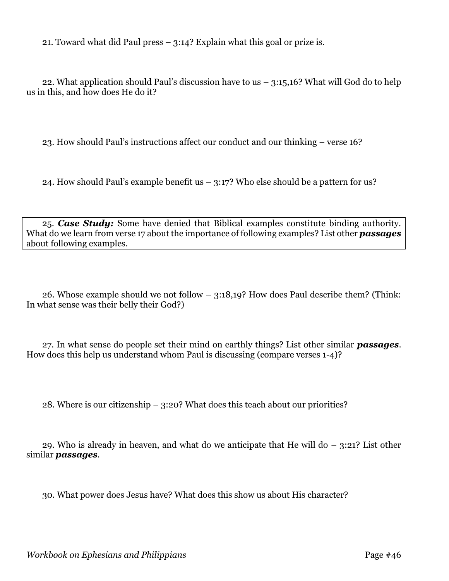21. Toward what did Paul press – 3:14? Explain what this goal or prize is.

22. What application should Paul's discussion have to us  $-$  3:15,16? What will God do to help us in this, and how does He do it?

23. How should Paul's instructions affect our conduct and our thinking – verse 16?

24. How should Paul's example benefit us – 3:17? Who else should be a pattern for us?

25. *Case Study:* Some have denied that Biblical examples constitute binding authority. What do we learn from verse 17 about the importance of following examples? List other *passages* about following examples.

26. Whose example should we not follow – 3:18,19? How does Paul describe them? (Think: In what sense was their belly their God?)

27. In what sense do people set their mind on earthly things? List other similar *passages*. How does this help us understand whom Paul is discussing (compare verses 1-4)?

28. Where is our citizenship – 3:20? What does this teach about our priorities?

29. Who is already in heaven, and what do we anticipate that He will do  $-$  3:21? List other similar *passages*.

30. What power does Jesus have? What does this show us about His character?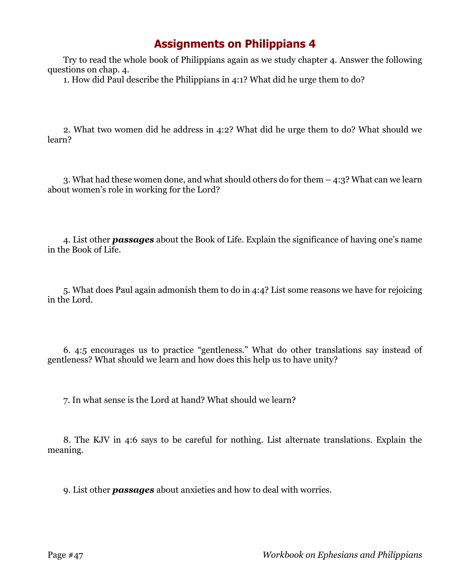## **Assignments on Philippians 4**

Try to read the whole book of Philippians again as we study chapter 4. Answer the following questions on chap. 4.

1. How did Paul describe the Philippians in 4:1? What did he urge them to do?

2. What two women did he address in 4:2? What did he urge them to do? What should we learn?

3. What had these women done, and what should others do for them – 4:3? What can we learn about women's role in working for the Lord?

4. List other *passages* about the Book of Life. Explain the significance of having one's name in the Book of Life.

5. What does Paul again admonish them to do in 4:4? List some reasons we have for rejoicing in the Lord.

6. 4:5 encourages us to practice "gentleness." What do other translations say instead of gentleness? What should we learn and how does this help us to have unity?

7. In what sense is the Lord at hand? What should we learn?

8. The KJV in 4:6 says to be careful for nothing. List alternate translations. Explain the meaning.

9. List other *passages* about anxieties and how to deal with worries.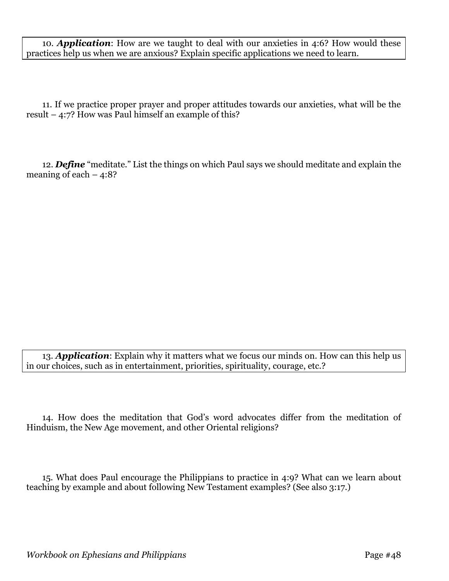10. *Application*: How are we taught to deal with our anxieties in 4:6? How would these practices help us when we are anxious? Explain specific applications we need to learn.

11. If we practice proper prayer and proper attitudes towards our anxieties, what will be the result – 4:7? How was Paul himself an example of this?

12. *Define* "meditate." List the things on which Paul says we should meditate and explain the meaning of each  $-4:8$ ?

13. *Application*: Explain why it matters what we focus our minds on. How can this help us in our choices, such as in entertainment, priorities, spirituality, courage, etc.?

14. How does the meditation that God's word advocates differ from the meditation of Hinduism, the New Age movement, and other Oriental religions?

15. What does Paul encourage the Philippians to practice in 4:9? What can we learn about teaching by example and about following New Testament examples? (See also 3:17.)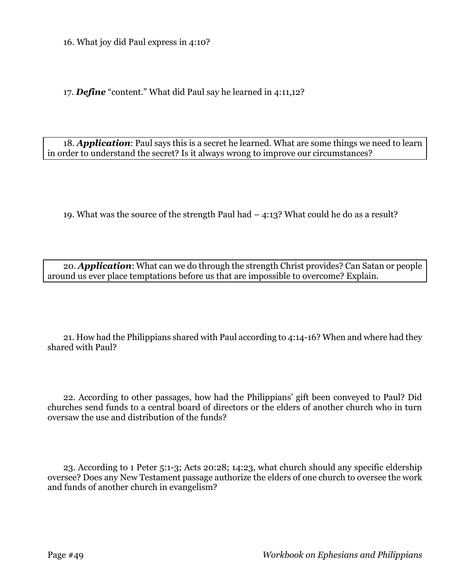16. What joy did Paul express in 4:10?

17. *Define* "content." What did Paul say he learned in 4:11,12?

18. *Application*: Paul says this is a secret he learned. What are some things we need to learn in order to understand the secret? Is it always wrong to improve our circumstances?

19. What was the source of the strength Paul had – 4:13? What could he do as a result?

20. *Application*: What can we do through the strength Christ provides? Can Satan or people around us ever place temptations before us that are impossible to overcome? Explain.

21. How had the Philippians shared with Paul according to 4:14-16? When and where had they shared with Paul?

22. According to other passages, how had the Philippians' gift been conveyed to Paul? Did churches send funds to a central board of directors or the elders of another church who in turn oversaw the use and distribution of the funds?

23. According to 1 Peter 5:1-3; Acts 20:28; 14:23, what church should any specific eldership oversee? Does any New Testament passage authorize the elders of one church to oversee the work and funds of another church in evangelism?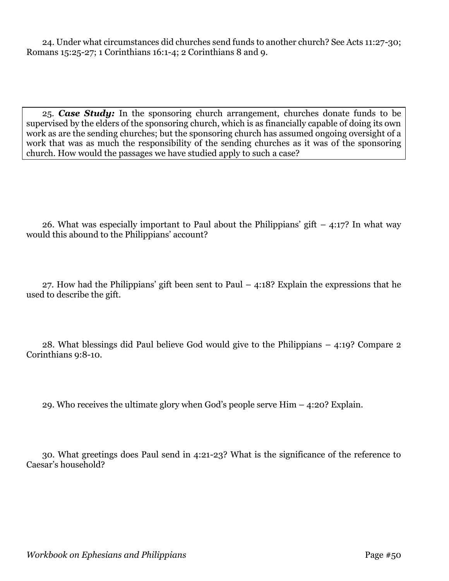24. Under what circumstances did churches send funds to another church? See Acts 11:27-30; Romans 15:25-27; 1 Corinthians 16:1-4; 2 Corinthians 8 and 9.

25. *Case Study:* In the sponsoring church arrangement, churches donate funds to be supervised by the elders of the sponsoring church, which is as financially capable of doing its own work as are the sending churches; but the sponsoring church has assumed ongoing oversight of a work that was as much the responsibility of the sending churches as it was of the sponsoring church. How would the passages we have studied apply to such a case?

26. What was especially important to Paul about the Philippians' gift  $-$  4:17? In what way would this abound to the Philippians' account?

27. How had the Philippians' gift been sent to Paul  $-4:18$ ? Explain the expressions that he used to describe the gift.

28. What blessings did Paul believe God would give to the Philippians – 4:19? Compare 2 Corinthians 9:8-10.

29. Who receives the ultimate glory when God's people serve Him – 4:20? Explain.

30. What greetings does Paul send in 4:21-23? What is the significance of the reference to Caesar's household?